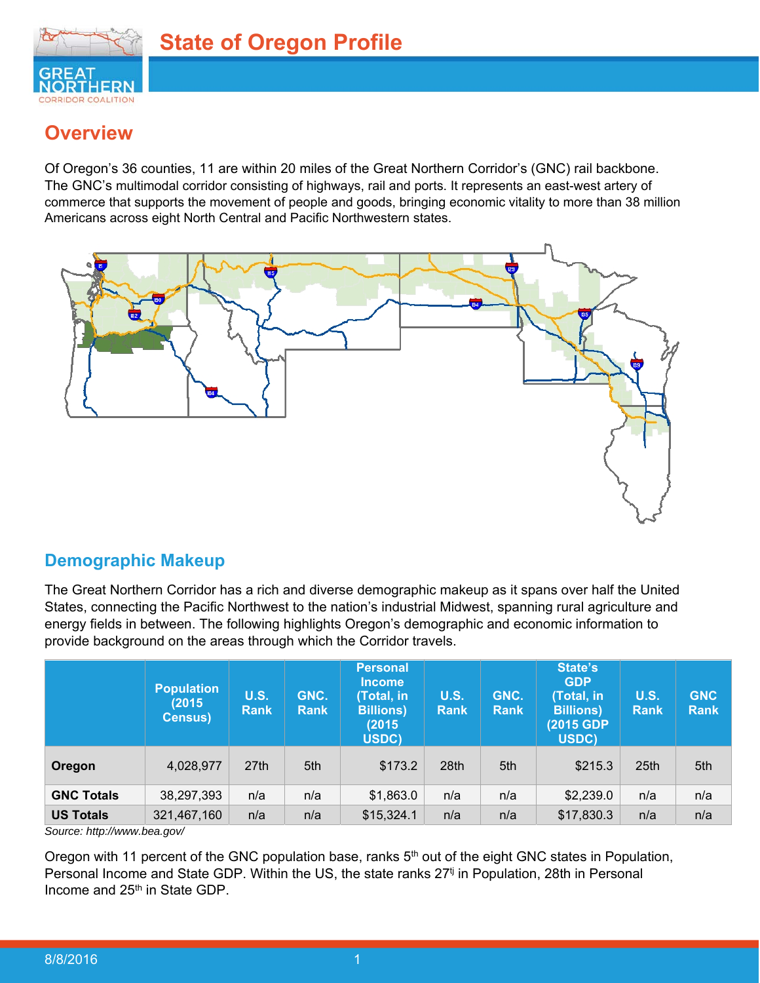

## **Overview**

Of Oregon's 36 counties, 11 are within 20 miles of the Great Northern Corridor's (GNC) rail backbone. The GNC's multimodal corridor consisting of highways, rail and ports. It represents an east-west artery of commerce that supports the movement of people and goods, bringing economic vitality to more than 38 million Americans across eight North Central and Pacific Northwestern states.



## **Demographic Makeup**

The Great Northern Corridor has a rich and diverse demographic makeup as it spans over half the United States, connecting the Pacific Northwest to the nation's industrial Midwest, spanning rural agriculture and energy fields in between. The following highlights Oregon's demographic and economic information to provide background on the areas through which the Corridor travels.

|                   | <b>Population</b><br>(2015)<br><b>Census</b> ) | <b>U.S.</b><br><b>Rank</b> | GNC.<br><b>Rank</b> | <b>Personal</b><br><b>Income</b><br>(Total, in<br><b>Billions</b> )<br>(2015<br>USDC) | <b>U.S.</b><br><b>Rank</b> | GNC.<br><b>Rank</b> | State's<br><b>GDP</b><br>(Total, in<br><b>Billions</b> )<br>(2015 GDP)<br>USDC) | <b>U.S.</b><br><b>Rank</b> | <b>GNC</b><br><b>Rank</b> |
|-------------------|------------------------------------------------|----------------------------|---------------------|---------------------------------------------------------------------------------------|----------------------------|---------------------|---------------------------------------------------------------------------------|----------------------------|---------------------------|
| Oregon            | 4,028,977                                      | 27 <sub>th</sub>           | 5th                 | \$173.2                                                                               | 28th                       | 5th                 | \$215.3                                                                         | 25 <sub>th</sub>           | 5th                       |
| <b>GNC Totals</b> | 38,297,393                                     | n/a                        | n/a                 | \$1,863.0                                                                             | n/a                        | n/a                 | \$2,239.0                                                                       | n/a                        | n/a                       |
| <b>US Totals</b>  | 321,467,160                                    | n/a                        | n/a                 | \$15,324.1                                                                            | n/a                        | n/a                 | \$17,830.3                                                                      | n/a                        | n/a                       |

*Source: http://www.bea.gov/* 

Oregon with 11 percent of the GNC population base, ranks 5<sup>th</sup> out of the eight GNC states in Population, Personal Income and State GDP. Within the US, the state ranks 27<sup>tj</sup> in Population, 28th in Personal Income and 25<sup>th</sup> in State GDP.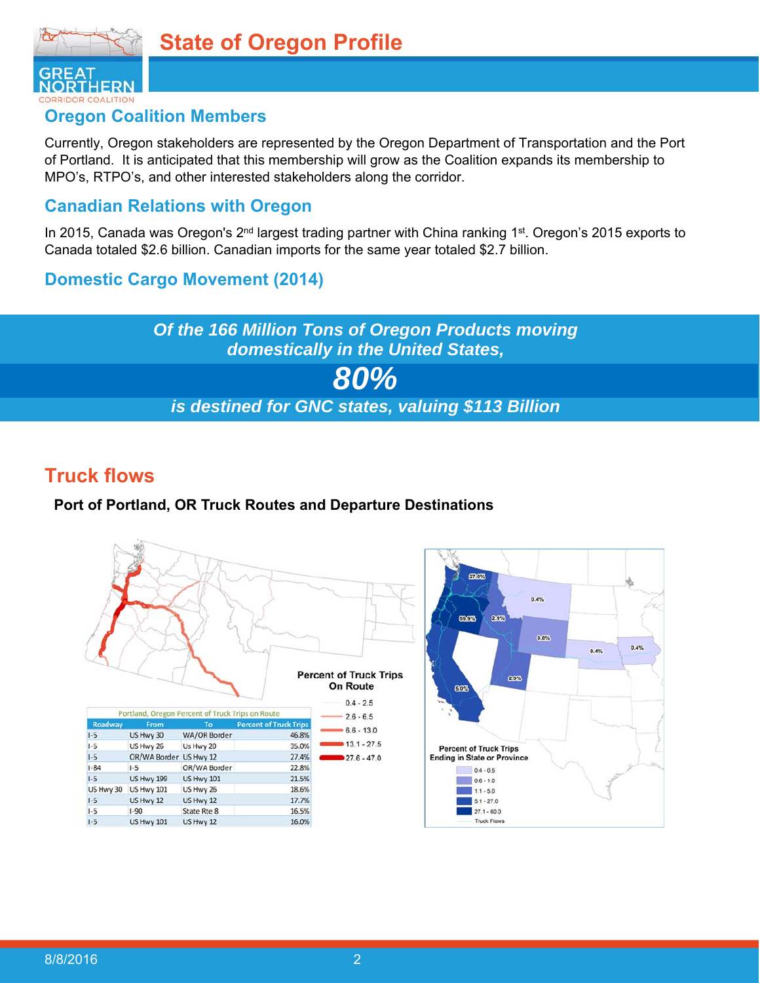



### **Oregon Coalition Members**

Currently, Oregon stakeholders are represented by the Oregon Department of Transportation and the Port of Portland. It is anticipated that this membership will grow as the Coalition expands its membership to MPO's, RTPO's, and other interested stakeholders along the corridor.

### **Canadian Relations with Oregon**

In 2015, Canada was Oregon's 2<sup>nd</sup> largest trading partner with China ranking 1<sup>st</sup>. Oregon's 2015 exports to Canada totaled \$2.6 billion. Canadian imports for the same year totaled \$2.7 billion.

### **Domestic Cargo Movement (2014)**



## **Truck flows**

#### **Port of Portland, OR Truck Routes and Departure Destinations**

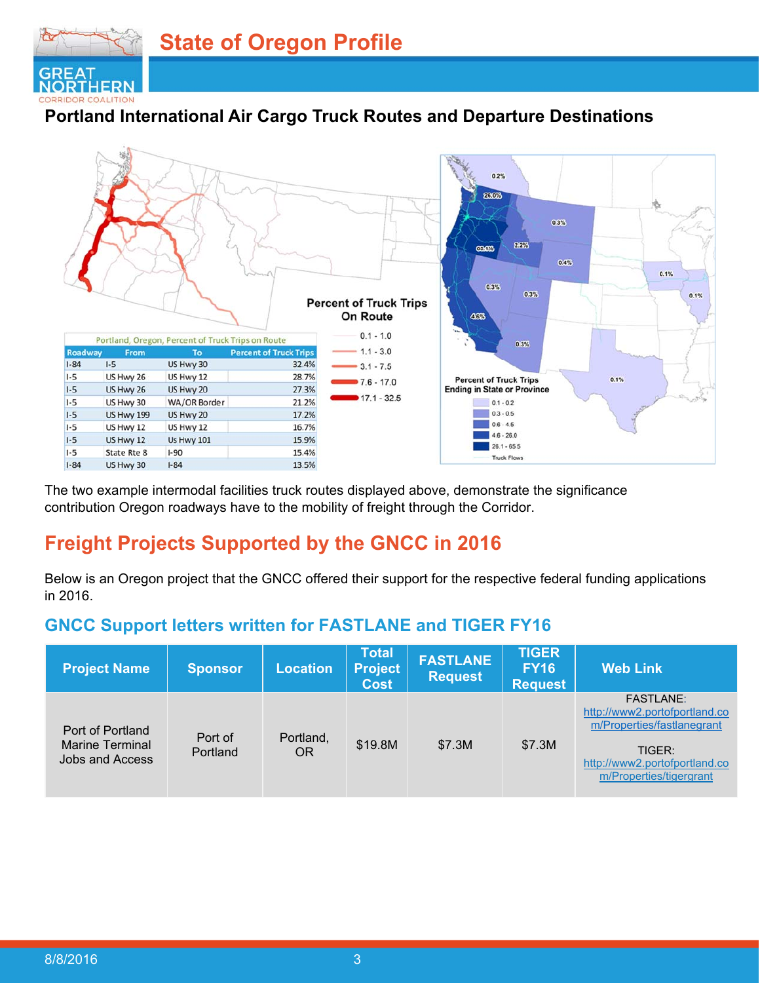

## **Portland International Air Cargo Truck Routes and Departure Destinations**



The two example intermodal facilities truck routes displayed above, demonstrate the significance contribution Oregon roadways have to the mobility of freight through the Corridor.

## **Freight Projects Supported by the GNCC in 2016**

Below is an Oregon project that the GNCC offered their support for the respective federal funding applications in 2016.

## **GNCC Support letters written for FASTLANE and TIGER FY16**

| <b>Project Name</b>                                           | <b>Sponsor</b>      | <b>Location</b>        | <b>Total</b><br><b>Project</b><br><b>Cost</b> | <b>FASTLANE</b><br><b>Request</b> | <b>TIGER</b><br><b>FY16</b><br><b>Request</b> | <b>Web Link</b>                                                                                                                                       |
|---------------------------------------------------------------|---------------------|------------------------|-----------------------------------------------|-----------------------------------|-----------------------------------------------|-------------------------------------------------------------------------------------------------------------------------------------------------------|
| Port of Portland<br><b>Marine Terminal</b><br>Jobs and Access | Port of<br>Portland | Portland,<br><b>OR</b> | \$19.8M                                       | \$7.3M                            | \$7.3M                                        | <b>FASTLANE:</b><br>http://www2.portofportland.co<br>m/Properties/fastlanegrant<br>TIGER:<br>http://www2.portofportland.co<br>m/Properties/tigergrant |